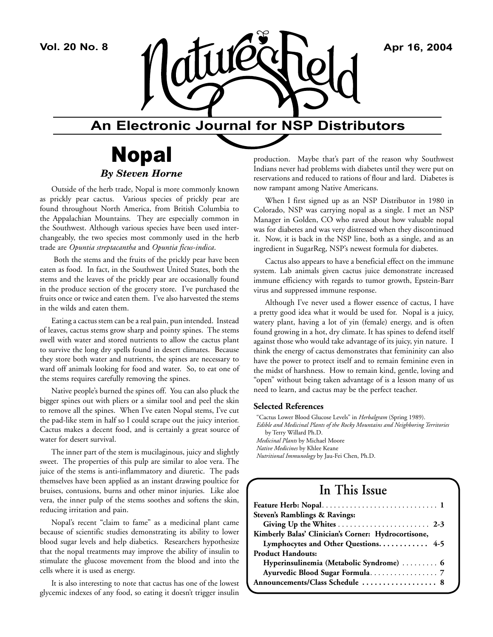

### **An Electronic Journal for NSP Distributors**

## Nopal *By Steven Horne*

Outside of the herb trade, Nopal is more commonly known as prickly pear cactus. Various species of prickly pear are found throughout North America, from British Columbia to the Appalachian Mountains. They are especially common in the Southwest. Although various species have been used interchangeably, the two species most commonly used in the herb trade are *Opuntia streptacantha* and *Opuntia ficus-indica*.

 Both the stems and the fruits of the prickly pear have been eaten as food. In fact, in the Southwest United States, both the stems and the leaves of the prickly pear are occasionally found in the produce section of the grocery store. I've purchased the fruits once or twice and eaten them. I've also harvested the stems in the wilds and eaten them.

Eating a cactus stem can be a real pain, pun intended. Instead of leaves, cactus stems grow sharp and pointy spines. The stems swell with water and stored nutrients to allow the cactus plant to survive the long dry spells found in desert climates. Because they store both water and nutrients, the spines are necessary to ward off animals looking for food and water. So, to eat one of the stems requires carefully removing the spines.

Native people's burned the spines off. You can also pluck the bigger spines out with pliers or a similar tool and peel the skin to remove all the spines. When I've eaten Nopal stems, I've cut the pad-like stem in half so I could scrape out the juicy interior. Cactus makes a decent food, and is certainly a great source of water for desert survival.

The inner part of the stem is mucilaginous, juicy and slightly sweet. The properties of this pulp are similar to aloe vera. The juice of the stems is anti-inflammatory and diuretic. The pads themselves have been applied as an instant drawing poultice for bruises, contusions, burns and other minor injuries. Like aloe vera, the inner pulp of the stems soothes and softens the skin, reducing irritation and pain.

Nopal's recent "claim to fame" as a medicinal plant came because of scientific studies demonstrating its ability to lower blood sugar levels and help diabetics. Researchers hypothesize that the nopal treatments may improve the ability of insulin to stimulate the glucose movement from the blood and into the cells where it is used as energy.

It is also interesting to note that cactus has one of the lowest glycemic indexes of any food, so eating it doesn't trigger insulin

production. Maybe that's part of the reason why Southwest Indians never had problems with diabetes until they were put on reservations and reduced to rations of flour and lard. Diabetes is now rampant among Native Americans.

When I first signed up as an NSP Distributor in 1980 in Colorado, NSP was carrying nopal as a single. I met an NSP Manager in Golden, CO who raved about how valuable nopal was for diabetes and was very distressed when they discontinued it. Now, it is back in the NSP line, both as a single, and as an ingredient in SugarReg, NSP's newest formula for diabetes.

Cactus also appears to have a beneficial effect on the immune system. Lab animals given cactus juice demonstrate increased immune efficiency with regards to tumor growth, Epstein-Barr virus and suppressed immune response.

Although I've never used a flower essence of cactus, I have a pretty good idea what it would be used for. Nopal is a juicy, watery plant, having a lot of yin (female) energy, and is often found growing in a hot, dry climate. It has spines to defend itself against those who would take advantage of its juicy, yin nature. I think the energy of cactus demonstrates that femininity can also have the power to protect itself and to remain feminine even in the midst of harshness. How to remain kind, gentle, loving and "open" without being taken advantage of is a lesson many of us need to learn, and cactus may be the perfect teacher.

#### **Selected References**

"Cactus Lower Blood Glucose Levels" in *Herbalgram* (Spring 1989). *Edible and Medicinal Plants of the Rocky Mountains and Neighboring Territories* by Terry Willard Ph.D. *Medicinal Plants* by Michael Moore *Native Medicines* by Khlee Keane *Nutritional Immunology* by Jau-Fei Chen, Ph.D.

## **In This Issue**

| Steven's Ramblings & Ravings:                       |
|-----------------------------------------------------|
|                                                     |
| Kimberly Balas' Clinician's Corner: Hydrocortisone, |
| Lymphocytes and Other Questions 4-5                 |
| <b>Product Handouts:</b>                            |
| Hyperinsulinemia (Metabolic Syndrome)  6            |
|                                                     |
| Announcements/Class Schedule  8                     |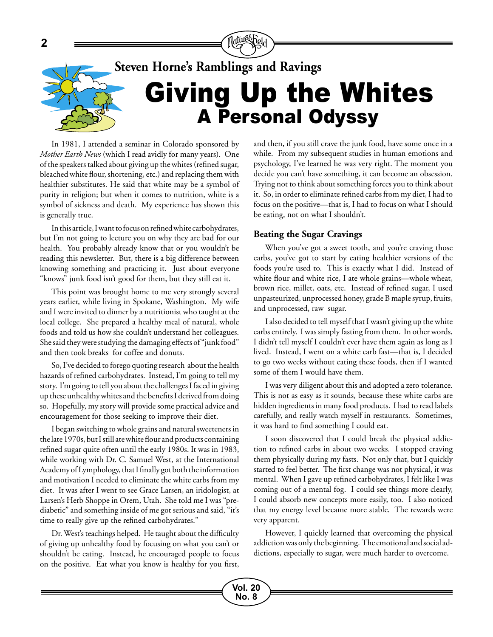

## **Steven Horne's Ramblings and Ravings**

# Giving Up the Whites A Personal Odyssy

In 1981, I attended a seminar in Colorado sponsored by *Mother Earth News* (which I read avidly for many years). One of the speakers talked about giving up the whites (refined sugar, bleached white flour, shortening, etc.) and replacing them with healthier substitutes. He said that white may be a symbol of purity in religion; but when it comes to nutrition, white is a symbol of sickness and death. My experience has shown this is generally true.

In this article, I want to focus on refined white carbohydrates, but I'm not going to lecture you on why they are bad for our health. You probably already know that or you wouldn't be reading this newsletter. But, there is a big difference between knowing something and practicing it. Just about everyone "knows" junk food isn't good for them, but they still eat it.

This point was brought home to me very strongly several years earlier, while living in Spokane, Washington. My wife and I were invited to dinner by a nutritionist who taught at the local college. She prepared a healthy meal of natural, whole foods and told us how she couldn't understand her colleagues. She said they were studying the damaging effects of "junk food" and then took breaks for coffee and donuts.

So, I've decided to forego quoting research about the health hazards of refined carbohydrates. Instead, I'm going to tell my story. I'm going to tell you about the challenges I faced in giving up these unhealthy whites and the benefits I derived from doing so. Hopefully, my story will provide some practical advice and encouragement for those seeking to improve their diet.

I began switching to whole grains and natural sweeteners in the late 1970s, but I still ate white flour and products containing refined sugar quite often until the early 1980s. It was in 1983, while working with Dr. C. Samuel West, at the International Academy of Lymphology, that I finally got both the information and motivation I needed to eliminate the white carbs from my diet. It was after I went to see Grace Larsen, an iridologist, at Larsen's Herb Shoppe in Orem, Utah. She told me I was "prediabetic" and something inside of me got serious and said, "it's time to really give up the refined carbohydrates."

Dr. West's teachings helped. He taught about the difficulty of giving up unhealthy food by focusing on what you can't or shouldn't be eating. Instead, he encouraged people to focus on the positive. Eat what you know is healthy for you first, and then, if you still crave the junk food, have some once in a while. From my subsequent studies in human emotions and psychology, I've learned he was very right. The moment you decide you can't have something, it can become an obsession. Trying not to think about something forces you to think about it. So, in order to eliminate refined carbs from my diet, I had to focus on the positive—that is, I had to focus on what I should be eating, not on what I shouldn't.

#### **Beating the Sugar Cravings**

When you've got a sweet tooth, and you're craving those carbs, you've got to start by eating healthier versions of the foods you're used to. This is exactly what I did. Instead of white flour and white rice, I ate whole grains—whole wheat, brown rice, millet, oats, etc. Instead of refined sugar, I used unpasteurized, unprocessed honey, grade B maple syrup, fruits, and unprocessed, raw sugar.

I also decided to tell myself that I wasn't giving up the white carbs entirely. I was simply fasting from them. In other words, I didn't tell myself I couldn't ever have them again as long as I lived. Instead, I went on a white carb fast—that is, I decided to go two weeks without eating these foods, then if I wanted some of them I would have them.

I was very diligent about this and adopted a zero tolerance. This is not as easy as it sounds, because these white carbs are hidden ingredients in many food products. I had to read labels carefully, and really watch myself in restaurants. Sometimes, it was hard to find something I could eat.

I soon discovered that I could break the physical addiction to refined carbs in about two weeks. I stopped craving them physically during my fasts. Not only that, but I quickly started to feel better. The first change was not physical, it was mental. When I gave up refined carbohydrates, I felt like I was coming out of a mental fog. I could see things more clearly, I could absorb new concepts more easily, too. I also noticed that my energy level became more stable. The rewards were very apparent.

However, I quickly learned that overcoming the physical addiction was only the beginning. The emotional and social addictions, especially to sugar, were much harder to overcome.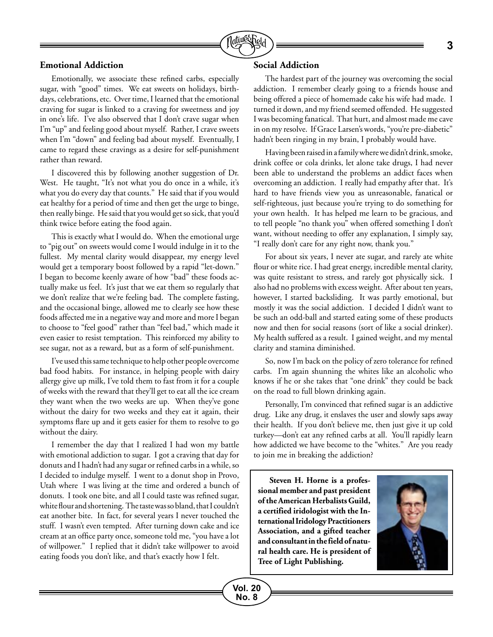

#### **Emotional Addiction**

Emotionally, we associate these refined carbs, especially sugar, with "good" times. We eat sweets on holidays, birthdays, celebrations, etc. Over time, I learned that the emotional craving for sugar is linked to a craving for sweetness and joy in one's life. I've also observed that I don't crave sugar when I'm "up" and feeling good about myself. Rather, I crave sweets when I'm "down" and feeling bad about myself. Eventually, I came to regard these cravings as a desire for self-punishment rather than reward.

I discovered this by following another suggestion of Dr. West. He taught, "It's not what you do once in a while, it's what you do every day that counts." He said that if you would eat healthy for a period of time and then get the urge to binge, then really binge. He said that you would get so sick, that you'd think twice before eating the food again.

This is exactly what I would do. When the emotional urge to "pig out" on sweets would come I would indulge in it to the fullest. My mental clarity would disappear, my energy level would get a temporary boost followed by a rapid "let-down." I began to become keenly aware of how "bad" these foods actually make us feel. It's just that we eat them so regularly that we don't realize that we're feeling bad. The complete fasting, and the occasional binge, allowed me to clearly see how these foods affected me in a negative way and more and more I began to choose to "feel good" rather than "feel bad," which made it even easier to resist temptation. This reinforced my ability to see sugar, not as a reward, but as a form of self-punishment.

I've used this same technique to help other people overcome bad food habits. For instance, in helping people with dairy allergy give up milk, I've told them to fast from it for a couple of weeks with the reward that they'll get to eat all the ice cream they want when the two weeks are up. When they've gone without the dairy for two weeks and they eat it again, their symptoms flare up and it gets easier for them to resolve to go without the dairy.

I remember the day that I realized I had won my battle with emotional addiction to sugar. I got a craving that day for donuts and I hadn't had any sugar or refined carbs in a while, so I decided to indulge myself. I went to a donut shop in Provo, Utah where I was living at the time and ordered a bunch of donuts. I took one bite, and all I could taste was refined sugar, white flour and shortening. The taste was so bland, that I couldn't eat another bite. In fact, for several years I never touched the stuff. I wasn't even tempted. After turning down cake and ice cream at an office party once, someone told me, "you have a lot of willpower." I replied that it didn't take willpower to avoid eating foods you don't like, and that's exactly how I felt.

#### **Social Addiction**

The hardest part of the journey was overcoming the social addiction. I remember clearly going to a friends house and being offered a piece of homemade cake his wife had made. I turned it down, and my friend seemed offended. He suggested I was becoming fanatical. That hurt, and almost made me cave in on my resolve. If Grace Larsen's words, "you're pre-diabetic" hadn't been ringing in my brain, I probably would have.

Having been raised in a family where we didn't drink, smoke, drink coffee or cola drinks, let alone take drugs, I had never been able to understand the problems an addict faces when overcoming an addiction. I really had empathy after that. It's hard to have friends view you as unreasonable, fanatical or self-righteous, just because you're trying to do something for your own health. It has helped me learn to be gracious, and to tell people "no thank you" when offered something I don't want, without needing to offer any explanation, I simply say, "I really don't care for any right now, thank you."

For about six years, I never ate sugar, and rarely ate white flour or white rice. I had great energy, incredible mental clarity, was quite resistant to stress, and rarely got physically sick. I also had no problems with excess weight. After about ten years, however, I started backsliding. It was partly emotional, but mostly it was the social addiction. I decided I didn't want to be such an odd-ball and started eating some of these products now and then for social reasons (sort of like a social drinker). My health suffered as a result. I gained weight, and my mental clarity and stamina diminished.

So, now I'm back on the policy of zero tolerance for refined carbs. I'm again shunning the whites like an alcoholic who knows if he or she takes that "one drink" they could be back on the road to full blown drinking again.

Personally, I'm convinced that refined sugar is an addictive drug. Like any drug, it enslaves the user and slowly saps away their health. If you don't believe me, then just give it up cold turkey—don't eat any refined carbs at all. You'll rapidly learn how addicted we have become to the "whites." Are you ready to join me in breaking the addiction?

**Steven H. Horne is a professional member and past president of the American Herbalists Guild, a certified iridologist with the International Iridology Practitioners Association, and a gifted teacher and consultant in the field of natural health care. He is president of Tree of Light Publishing.**

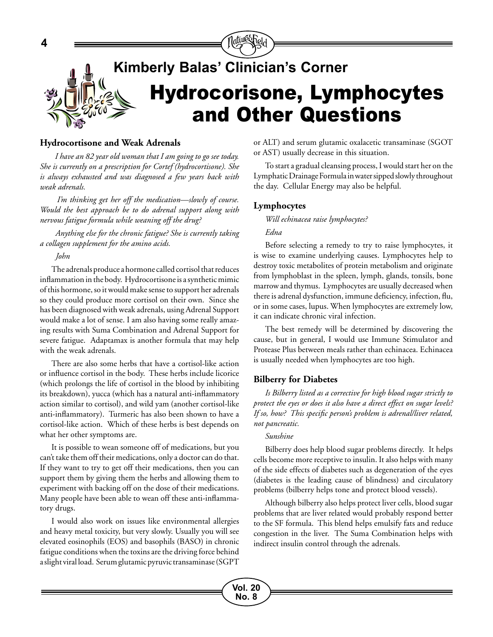

#### **Hydrocortisone and Weak Adrenals**

 *I have an 82 year old woman that I am going to go see today. She is currently on a prescription for Cortef (hydrocortisone). She is always exhausted and was diagnosed a few years back with weak adrenals.* 

 *I'm thinking get her off the medication—slowly of course. Would the best approach be to do adrenal support along with nervous fatigue formula while weaning off the drug?* 

 *Anything else for the chronic fatigue? She is currently taking a collagen supplement for the amino acids.*

 *John*

The adrenals produce a hormone called cortisol that reduces inflammation in the body. Hydrocortisone is a synthetic mimic of this hormone, so it would make sense to support her adrenals so they could produce more cortisol on their own. Since she has been diagnosed with weak adrenals, using Adrenal Support would make a lot of sense. I am also having some really amazing results with Suma Combination and Adrenal Support for severe fatigue. Adaptamax is another formula that may help with the weak adrenals.

There are also some herbs that have a cortisol-like action or influence cortisol in the body. These herbs include licorice (which prolongs the life of cortisol in the blood by inhibiting its breakdown), yucca (which has a natural anti-inflammatory action similar to cortisol), and wild yam (another cortisol-like anti-inflammatory). Turmeric has also been shown to have a cortisol-like action. Which of these herbs is best depends on what her other symptoms are.

It is possible to wean someone off of medications, but you can't take them off their medications, only a doctor can do that. If they want to try to get off their medications, then you can support them by giving them the herbs and allowing them to experiment with backing off on the dose of their medications. Many people have been able to wean off these anti-inflammatory drugs.

I would also work on issues like environmental allergies and heavy metal toxicity, but very slowly. Usually you will see elevated eosinophils (EOS) and basophils (BASO) in chronic fatigue conditions when the toxins are the driving force behind a slight viral load. Serum glutamic pyruvic transaminase (SGPT or ALT) and serum glutamic oxalacetic transaminase (SGOT or AST) usually decrease in this situation.

To start a gradual cleansing process, I would start her on the Lymphatic Drainage Formula in water sipped slowly throughout the day. Cellular Energy may also be helpful.

#### **Lymphocytes**

*Will echinacea raise lymphocytes? Edna*

Before selecting a remedy to try to raise lymphocytes, it is wise to examine underlying causes. Lymphocytes help to destroy toxic metabolites of protein metabolism and originate from lymphoblast in the spleen, lymph, glands, tonsils, bone marrow and thymus. Lymphocytes are usually decreased when there is adrenal dysfunction, immune deficiency, infection, flu, or in some cases, lupus. When lymphocytes are extremely low, it can indicate chronic viral infection.

The best remedy will be determined by discovering the cause, but in general, I would use Immune Stimulator and Protease Plus between meals rather than echinacea. Echinacea is usually needed when lymphocytes are too high.

#### **Bilberry for Diabetes**

*Is Bilberry listed as a corrective for high blood sugar strictly to protect the eyes or does it also have a direct effect on sugar levels? If so, how? This specific person's problem is adrenal/liver related, not pancreatic.* 

#### *Sunshine*

Bilberry does help blood sugar problems directly. It helps cells become more receptive to insulin. It also helps with many of the side effects of diabetes such as degeneration of the eyes (diabetes is the leading cause of blindness) and circulatory problems (bilberry helps tone and protect blood vessels).

Although bilberry also helps protect liver cells, blood sugar problems that are liver related would probably respond better to the SF formula. This blend helps emulsify fats and reduce congestion in the liver. The Suma Combination helps with indirect insulin control through the adrenals.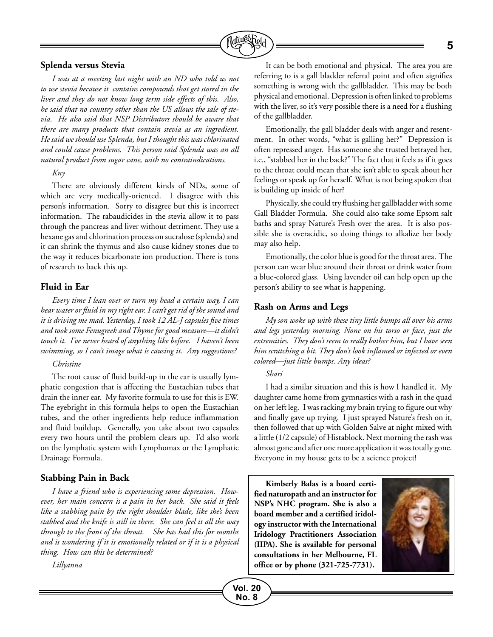

#### **Splenda versus Stevia**

*I was at a meeting last night with an ND who told us not to use stevia because it contains compounds that get stored in the liver and they do not know long term side effects of this. Also, he said that no country other than the US allows the sale of stevia. He also said that NSP Distributors should be aware that there are many products that contain stevia as an ingredient. He said we should use Splenda, but I thought this was chlorinated and could cause problems. This person said Splenda was an all natural product from sugar cane, with no contraindications.*

#### *Kny*

There are obviously different kinds of NDs, some of which are very medically-oriented. I disagree with this person's information. Sorry to disagree but this is incorrect information. The rabaudicides in the stevia allow it to pass through the pancreas and liver without detriment. They use a hexane gas and chlorination process on sucralose (splenda) and it can shrink the thymus and also cause kidney stones due to the way it reduces bicarbonate ion production. There is tons of research to back this up.

#### **Fluid in Ear**

*Every time I lean over or turn my head a certain way, I can hear water or fluid in my right ear. I can't get rid of the sound and it is driving me mad. Yesterday, I took 12 AL-J capsules five times and took some Fenugreek and Thyme for good measure—it didn't touch it. I've never heard of anything like before. I haven't been swimming, so I can't image what is causing it. Any suggestions?*

#### *Christine*

The root cause of fluid build-up in the ear is usually lymphatic congestion that is affecting the Eustachian tubes that drain the inner ear. My favorite formula to use for this is EW. The eyebright in this formula helps to open the Eustachian tubes, and the other ingredients help reduce inflammation and fluid buildup. Generally, you take about two capsules every two hours until the problem clears up. I'd also work on the lymphatic system with Lymphomax or the Lymphatic Drainage Formula.

#### **Stabbing Pain in Back**

*I have a friend who is experiencing some depression. However, her main concern is a pain in her back. She said it feels like a stabbing pain by the right shoulder blade, like she's been stabbed and the knife is still in there. She can feel it all the way through to the front of the throat. She has had this for months and is wondering if it is emotionally related or if it is a physical thing. How can this be determined?* 

*Lillyanna*

It can be both emotional and physical. The area you are referring to is a gall bladder referral point and often signifies something is wrong with the gallbladder. This may be both physical and emotional. Depression is often linked to problems with the liver, so it's very possible there is a need for a flushing of the gallbladder.

Emotionally, the gall bladder deals with anger and resentment. In other words, "what is galling her?" Depression is often repressed anger. Has someone she trusted betrayed her, i.e., "stabbed her in the back?" The fact that it feels as if it goes to the throat could mean that she isn't able to speak about her feelings or speak up for herself. What is not being spoken that is building up inside of her?

Physically, she could try flushing her gallbladder with some Gall Bladder Formula. She could also take some Epsom salt baths and spray Nature's Fresh over the area. It is also possible she is overacidic, so doing things to alkalize her body may also help.

Emotionally, the color blue is good for the throat area. The person can wear blue around their throat or drink water from a blue-colored glass. Using lavender oil can help open up the person's ability to see what is happening.

#### **Rash on Arms and Legs**

*My son woke up with these tiny little bumps all over his arms and legs yesterday morning. None on his torso or face, just the extremities. They don't seem to really bother him, but I have seen him scratching a bit. They don't look inflamed or infected or even colored—just little bumps. Any ideas?* 

#### *Shari*

**Vol. 20 No. 8**

I had a similar situation and this is how I handled it. My daughter came home from gymnastics with a rash in the quad on her left leg. I was racking my brain trying to figure out why and finally gave up trying. I just sprayed Nature's fresh on it, then followed that up with Golden Salve at night mixed with a little (1/2 capsule) of Histablock. Next morning the rash was almost gone and after one more application it was totally gone. Everyone in my house gets to be a science project!

**Kimberly Balas is a board certified naturopath and an instructor for NSP's NHC program. She is also a board member and a certified iridology instructor with the International Iridology Practitioners Association (IIPA). She is available for personal consultations in her Melbourne, FL office or by phone (321-725-7731).**

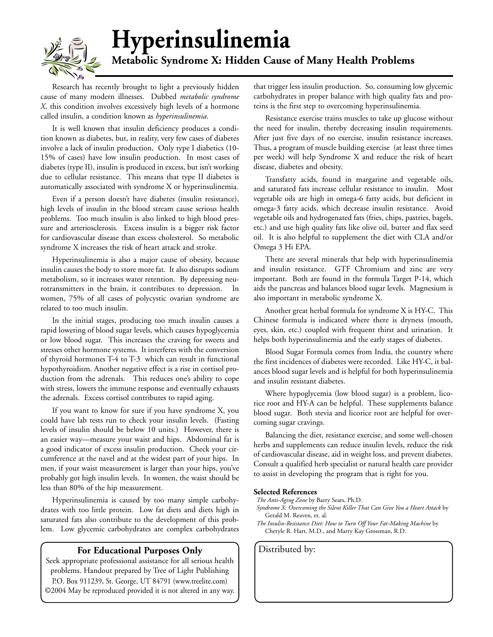

# **Hyperinsulinemia**

### **Metabolic Syndrome X: Hidden Cause of Many Health Problems**

Research has recently brought to light a previously hidden cause of many modern illnesses. Dubbed *metabolic syndrome X*, this condition involves excessively high levels of a hormone called insulin, a condition known as *hyperinsulinemia*.

It is well known that insulin deficiency produces a condition known as diabetes, but, in reality, very few cases of diabetes involve a lack of insulin production, Only type I diabetics (10- 15% of cases) have low insulin production. In most cases of diabetes (type II), insulin is produced in excess, but isn't working due to cellular resistance. This means that type II diabetes is automatically associated with syndrome X or hyperinsulinemia.

Even if a person doesn't have diabetes (insulin resistance), high levels of insulin in the blood stream cause serious health problems. Too much insulin is also linked to high blood pressure and arteriosclerosis. Excess insulin is a bigger risk factor for cardiovascular disease than excess cholesterol. So metabolic syndrome X increases the risk of heart attack and stroke.

Hyperinsulinemia is also a major cause of obesity, because insulin causes the body to store more fat. It also disrupts sodium metabolism, so it increases water retention. By depressing neurotransmitters in the brain, it contributes to depression. In women, 75% of all cases of polycystic ovarian syndrome are related to too much insulin.

In the initial stages, producing too much insulin causes a rapid lowering of blood sugar levels, which causes hypoglycemia or low blood sugar. This increases the craving for sweets and stresses other hormone systems. It interferes with the conversion of thyroid hormones T-4 to T-3 which can result in functional hypothyroidism. Another negative effect is a rise in cortisol production from the adrenals. This reduces one's ability to cope with stress, lowers the immune response and eventually exhausts the adrenals. Excess cortisol contributes to rapid aging.

If you want to know for sure if you have syndrome X, you could have lab tests run to check your insulin levels. (Fasting levels of insulin should be below 10 units.) However, there is an easier way—measure your waist and hips. Abdominal fat is a good indicator of excess insulin production. Check your circumference at the navel and at the widest part of your hips. In men, if your waist measurement is larger than your hips, you've probably got high insulin levels. In women, the waist should be less than 80% of the hip measurement.

Hyperinsulinemia is caused by too many simple carbohydrates with too little protein. Low fat diets and diets high in saturated fats also contribute to the development of this problem. Low glycemic carbohydrates are complex carbohydrates

#### **For Educational Purposes Only** | Distributed by:

Seek appropriate professional assistance for all serious health problems. Handout prepared by Tree of Light Publishing P.O. Box 911239, St. George, UT 84791 (www.treelite.com) ©2004 May be reproduced provided it is not altered in any way. that trigger less insulin production. So, consuming low glycemic carbohydrates in proper balance with high quality fats and proteins is the first step to overcoming hyperinsulinemia.

Resistance exercise trains muscles to take up glucose without the need for insulin, thereby decreasing insulin requirements. After just five days of no exercise, insulin resistance increases. Thus, a program of muscle building exercise (at least three times per week) will help Syndrome X and reduce the risk of heart disease, diabetes and obesity.

Transfatty acids, found in margarine and vegetable oils, and saturated fats increase cellular resistance to insulin. Most vegetable oils are high in omega-6 fatty acids, but deficient in omega-3 fatty acids, which decrease insulin resistance. Avoid vegetable oils and hydrogenated fats (fries, chips, pastries, bagels, etc.) and use high quality fats like olive oil, butter and flax seed oil. It is also helpful to supplement the diet with CLA and/or Omega 3 Hi EPA.

There are several minerals that help with hyperinsulinemia and insulin resistance. GTF Chromium and zinc are very important. Both are found in the formula Target P-14, which aids the pancreas and balances blood sugar levels. Magnesium is also important in metabolic syndrome X.

Another great herbal formula for syndrome X is HY-C. This Chinese formula is indicated where there is dryness (mouth, eyes, skin, etc.) coupled with frequent thirst and urination. It helps both hyperinsulinemia and the early stages of diabetes.

Blood Sugar Formula comes from India, the country where the first incidences of diabetes were recorded. Like HY-C, it balances blood sugar levels and is helpful for both hyperinsulinemia and insulin resistant diabetes.

Where hypoglycemia (low blood sugar) is a problem, licorice root and HY-A can be helpful. These supplements balance blood sugar. Both stevia and licorice root are helpful for overcoming sugar cravings.

Balancing the diet, resistance exercise, and some well-chosen herbs and supplements can reduce insulin levels, reduce the risk of cardiovascular disease, aid in weight loss, and prevent diabetes. Consult a qualified herb specialist or natural health care provider to assist in developing the program that is right for you.

#### **Selected References**

*The Anti-Aging Zone* by Barry Sears, Ph.D.

*Syndrome X: Overcoming the Silent Killer That Can Give You a Heart Attack* by Gerald M. Reaven, et. al.

*The Insulin-Resistance Diet: How to Turn Off Your Fat-Making Machine* by Cheryle R. Hart, M.D., and Marry Kay Grossman, R.D.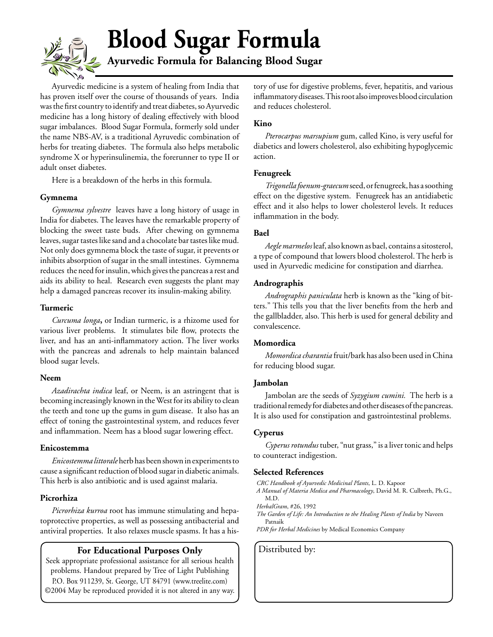# **Blood Sugar Formula**

**Ayurvedic Formula for Balancing Blood Sugar**

Ayurvedic medicine is a system of healing from India that has proven itself over the course of thousands of years. India was the first country to identify and treat diabetes, so Ayurvedic medicine has a long history of dealing effectively with blood sugar imbalances. Blood Sugar Formula, formerly sold under the name NBS-AV, is a traditional Ayruvedic combination of herbs for treating diabetes. The formula also helps metabolic syndrome X or hyperinsulinemia, the forerunner to type II or adult onset diabetes.

Here is a breakdown of the herbs in this formula.

#### **Gymnema**

*Gymnema sylvestre* leaves have a long history of usage in India for diabetes. The leaves have the remarkable property of blocking the sweet taste buds. After chewing on gymnema leaves, sugar tastes like sand and a chocolate bar tastes like mud. Not only does gymnema block the taste of sugar, it prevents or inhibits absorption of sugar in the small intestines. Gymnema reduces the need for insulin, which gives the pancreas a rest and aids its ability to heal. Research even suggests the plant may help a damaged pancreas recover its insulin-making ability.

#### **Turmeric**

*Curcuma longa***,** or Indian turmeric, is a rhizome used for various liver problems. It stimulates bile flow, protects the liver, and has an anti-inflammatory action. The liver works with the pancreas and adrenals to help maintain balanced blood sugar levels.

#### **Neem**

*Azadirachta indica* leaf, or Neem, is an astringent that is becoming increasingly known in the West for its ability to clean the teeth and tone up the gums in gum disease. It also has an effect of toning the gastrointestinal system, and reduces fever and inflammation. Neem has a blood sugar lowering effect.

#### **Enicostemma**

*Enicostemma littorale*herb has been shown in experiments to cause a significant reduction of blood sugar in diabetic animals. This herb is also antibiotic and is used against malaria.

#### **Picrorhiza**

*Picrorhiza kurroa* root has immune stimulating and hepatoprotective properties, as well as possessing antibacterial and antiviral properties. It also relaxes muscle spasms. It has a his-

#### **For Educational Purposes Only** | Distributed by:

Seek appropriate professional assistance for all serious health problems. Handout prepared by Tree of Light Publishing P.O. Box 911239, St. George, UT 84791 (www.treelite.com) ©2004 May be reproduced provided it is not altered in any way. tory of use for digestive problems, fever, hepatitis, and various inflammatory diseases. This root also improves blood circulation and reduces cholesterol.

#### **Kino**

*Pterocarpus marsupium* gum, called Kino, is very useful for diabetics and lowers cholesterol, also exhibiting hypoglycemic action.

#### **Fenugreek**

*Trigonella foenum-graecum* seed, or fenugreek, has a soothing effect on the digestive system. Fenugreek has an antidiabetic effect and it also helps to lower cholesterol levels. It reduces inflammation in the body.

#### **Bael**

*Aegle marmelos* leaf, also known as bael, contains a sitosterol, a type of compound that lowers blood cholesterol. The herb is used in Ayurvedic medicine for constipation and diarrhea.

#### **Andrographis**

*Andrographis paniculata* herb is known as the "king of bitters." This tells you that the liver benefits from the herb and the gallbladder, also. This herb is used for general debility and convalescence.

#### **Momordica**

*Momordica charantia* fruit/bark has also been used in China for reducing blood sugar.

#### **Jambolan**

Jambolan are the seeds of *Syzygium cumini.* The herb is a traditional remedy for diabetes and other diseases of the pancreas. It is also used for constipation and gastrointestinal problems.

#### **Cyperus**

*Cyperus rotundus* tuber, "nut grass," is a liver tonic and helps to counteract indigestion.

#### **Selected References**

*CRC Handbook of Ayurvedic Medicinal Plants*, L. D. Kapoor

*A Manual of Materia Medica and Pharmacology*, David M. R. Culbreth, Ph.G., M.D.

*HerbalGram*, #26, 1992

*The Garden of Life: An Introduction to the Healing Plants of India* by Naveen Patnaik

*PDR for Herbal Medicines* by Medical Economics Company